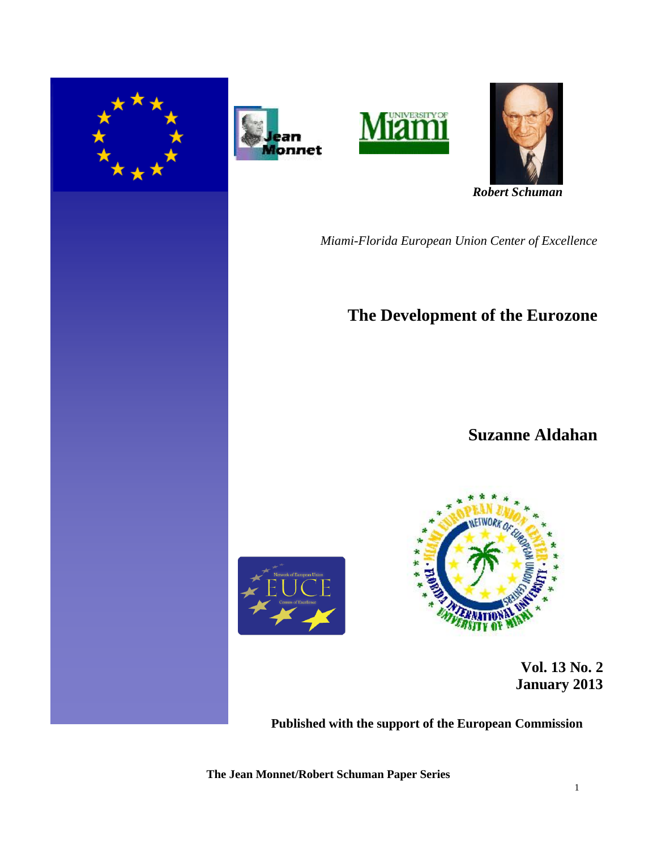







 *Robert Schuman* 

*Miami-Florida European Union Center of Excellence*

# **The Development of the Eurozone**

## **Suzanne Aldahan**





 **Vol. 13 No. 2 January 2013** 

**Published with the support of the European Commission**

**The Jean Monnet/Robert Schuman Paper Series**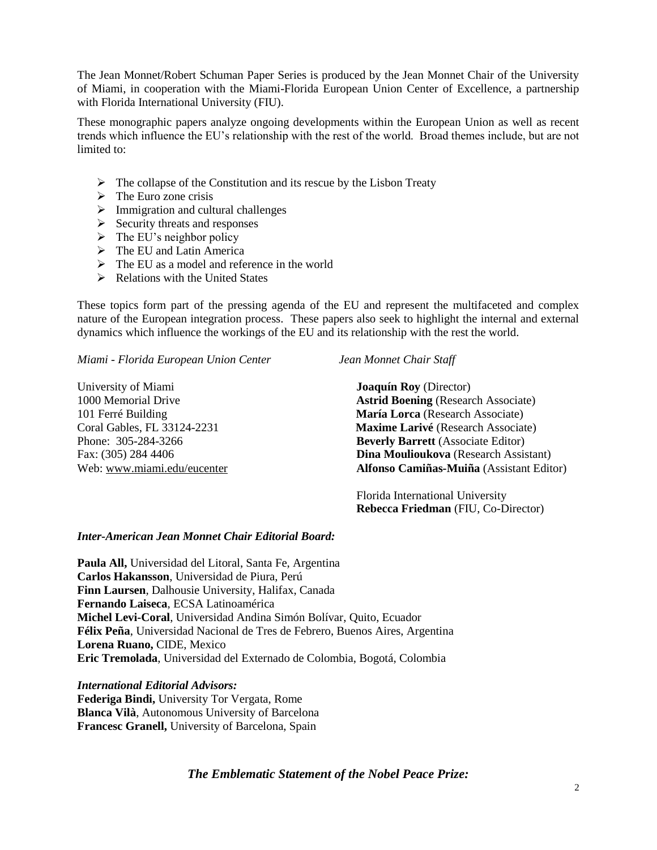The Jean Monnet/Robert Schuman Paper Series is produced by the Jean Monnet Chair of the University of Miami, in cooperation with the Miami-Florida European Union Center of Excellence, a partnership with Florida International University (FIU).

These monographic papers analyze ongoing developments within the European Union as well as recent trends which influence the EU's relationship with the rest of the world. Broad themes include, but are not limited to:

- $\triangleright$  The collapse of the Constitution and its rescue by the Lisbon Treaty
- $\triangleright$  The Euro zone crisis
- $\triangleright$  Immigration and cultural challenges
- $\triangleright$  Security threats and responses
- $\triangleright$  The EU's neighbor policy
- $\triangleright$  The EU and Latin America
- $\triangleright$  The EU as a model and reference in the world
- $\triangleright$  Relations with the United States

These topics form part of the pressing agenda of the EU and represent the multifaceted and complex nature of the European integration process. These papers also seek to highlight the internal and external dynamics which influence the workings of the EU and its relationship with the rest the world.

*Miami - Florida European Union Center Jean Monnet Chair Staff*

University of Miami **Joaquín Roy** (Director)

1000 Memorial Drive **Astrid Boening** (Research Associate) 101 Ferré Building **María Lorca** (Research Associate) Coral Gables, FL 33124-2231 **Maxime Larivé** (Research Associate) Phone: 305-284-3266 **Beverly Barrett** (Associate Editor) Fax: (305) 284 4406 **Dina Moulioukova** (Research Assistant) Web: [www.miami.edu/eucenter](http://www.miami.edu/eucenter) **Alfonso Camiñas-Muiña** (Assistant Editor)

> Florida International University  **Rebecca Friedman** (FIU, Co-Director)

### *Inter-American Jean Monnet Chair Editorial Board:*

**Paula All,** Universidad del Litoral, Santa Fe, Argentina **Carlos Hakansson**, Universidad de Piura, Perú **Finn Laursen**, Dalhousie University, Halifax, Canada **Fernando Laiseca**, ECSA Latinoamérica **Michel Levi-Coral**, Universidad Andina Simón Bolívar, Quito, Ecuador **Félix Peña**, Universidad Nacional de Tres de Febrero, Buenos Aires, Argentina **Lorena Ruano,** CIDE, Mexico **Eric Tremolada**, Universidad del Externado de Colombia, Bogotá, Colombia

*International Editorial Advisors:* **Federiga Bindi,** University Tor Vergata, Rome **Blanca Vilà**, Autonomous University of Barcelona **Francesc Granell,** University of Barcelona, Spain

## *The Emblematic Statement of the Nobel Peace Prize:*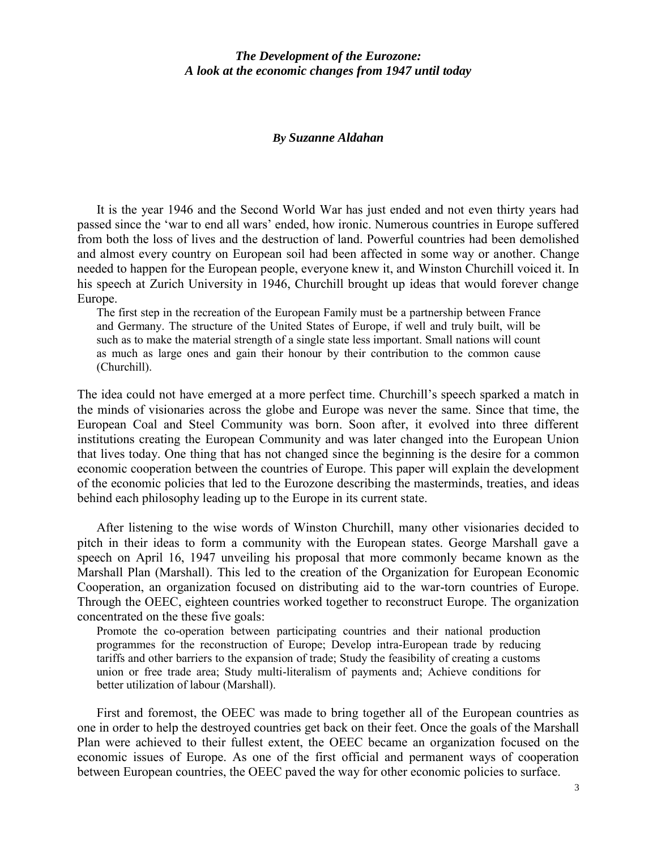## *The Development of the Eurozone: A look at the economic changes from 1947 until today*

#### *By Suzanne Aldahan*

It is the year 1946 and the Second World War has just ended and not even thirty years had passed since the 'war to end all wars' ended, how ironic. Numerous countries in Europe suffered from both the loss of lives and the destruction of land. Powerful countries had been demolished and almost every country on European soil had been affected in some way or another. Change needed to happen for the European people, everyone knew it, and Winston Churchill voiced it. In his speech at Zurich University in 1946, Churchill brought up ideas that would forever change Europe.

The first step in the recreation of the European Family must be a partnership between France and Germany. The structure of the United States of Europe, if well and truly built, will be such as to make the material strength of a single state less important. Small nations will count as much as large ones and gain their honour by their contribution to the common cause (Churchill).

The idea could not have emerged at a more perfect time. Churchill's speech sparked a match in the minds of visionaries across the globe and Europe was never the same. Since that time, the European Coal and Steel Community was born. Soon after, it evolved into three different institutions creating the European Community and was later changed into the European Union that lives today. One thing that has not changed since the beginning is the desire for a common economic cooperation between the countries of Europe. This paper will explain the development of the economic policies that led to the Eurozone describing the masterminds, treaties, and ideas behind each philosophy leading up to the Europe in its current state.

After listening to the wise words of Winston Churchill, many other visionaries decided to pitch in their ideas to form a community with the European states. George Marshall gave a speech on April 16, 1947 unveiling his proposal that more commonly became known as the Marshall Plan (Marshall). This led to the creation of the Organization for European Economic Cooperation, an organization focused on distributing aid to the war-torn countries of Europe. Through the OEEC, eighteen countries worked together to reconstruct Europe. The organization concentrated on the these five goals:

Promote the co-operation between participating countries and their national production programmes for the reconstruction of Europe; Develop intra-European trade by reducing tariffs and other barriers to the expansion of trade; Study the feasibility of creating a customs union or free trade area; Study multi-literalism of payments and; Achieve conditions for better utilization of labour (Marshall).

First and foremost, the OEEC was made to bring together all of the European countries as one in order to help the destroyed countries get back on their feet. Once the goals of the Marshall Plan were achieved to their fullest extent, the OEEC became an organization focused on the economic issues of Europe. As one of the first official and permanent ways of cooperation between European countries, the OEEC paved the way for other economic policies to surface.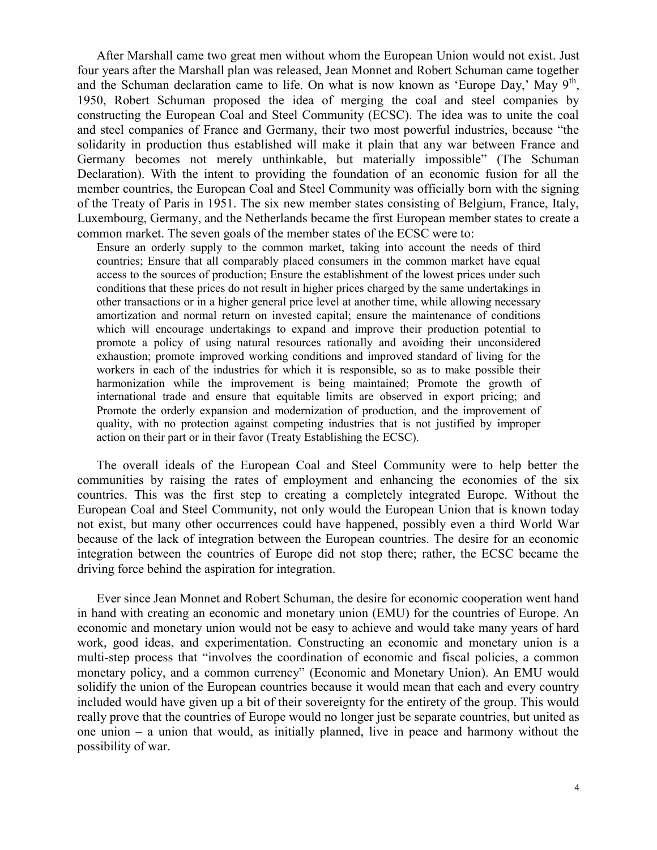After Marshall came two great men without whom the European Union would not exist. Just four years after the Marshall plan was released, Jean Monnet and Robert Schuman came together and the Schuman declaration came to life. On what is now known as 'Europe Day,' May  $9<sup>th</sup>$ , 1950, Robert Schuman proposed the idea of merging the coal and steel companies by constructing the European Coal and Steel Community (ECSC). The idea was to unite the coal and steel companies of France and Germany, their two most powerful industries, because "the solidarity in production thus established will make it plain that any war between France and Germany becomes not merely unthinkable, but materially impossible" (The Schuman Declaration). With the intent to providing the foundation of an economic fusion for all the member countries, the European Coal and Steel Community was officially born with the signing of the Treaty of Paris in 1951. The six new member states consisting of Belgium, France, Italy, Luxembourg, Germany, and the Netherlands became the first European member states to create a common market. The seven goals of the member states of the ECSC were to:

Ensure an orderly supply to the common market, taking into account the needs of third countries; Ensure that all comparably placed consumers in the common market have equal access to the sources of production; Ensure the establishment of the lowest prices under such conditions that these prices do not result in higher prices charged by the same undertakings in other transactions or in a higher general price level at another time, while allowing necessary amortization and normal return on invested capital; ensure the maintenance of conditions which will encourage undertakings to expand and improve their production potential to promote a policy of using natural resources rationally and avoiding their unconsidered exhaustion; promote improved working conditions and improved standard of living for the workers in each of the industries for which it is responsible, so as to make possible their harmonization while the improvement is being maintained; Promote the growth of international trade and ensure that equitable limits are observed in export pricing; and Promote the orderly expansion and modernization of production, and the improvement of quality, with no protection against competing industries that is not justified by improper action on their part or in their favor (Treaty Establishing the ECSC).

The overall ideals of the European Coal and Steel Community were to help better the communities by raising the rates of employment and enhancing the economies of the six countries. This was the first step to creating a completely integrated Europe. Without the European Coal and Steel Community, not only would the European Union that is known today not exist, but many other occurrences could have happened, possibly even a third World War because of the lack of integration between the European countries. The desire for an economic integration between the countries of Europe did not stop there; rather, the ECSC became the driving force behind the aspiration for integration.

Ever since Jean Monnet and Robert Schuman, the desire for economic cooperation went hand in hand with creating an economic and monetary union (EMU) for the countries of Europe. An economic and monetary union would not be easy to achieve and would take many years of hard work, good ideas, and experimentation. Constructing an economic and monetary union is a multi-step process that "involves the coordination of economic and fiscal policies, a common monetary policy, and a common currency" (Economic and Monetary Union). An EMU would solidify the union of the European countries because it would mean that each and every country included would have given up a bit of their sovereignty for the entirety of the group. This would really prove that the countries of Europe would no longer just be separate countries, but united as one union – a union that would, as initially planned, live in peace and harmony without the possibility of war.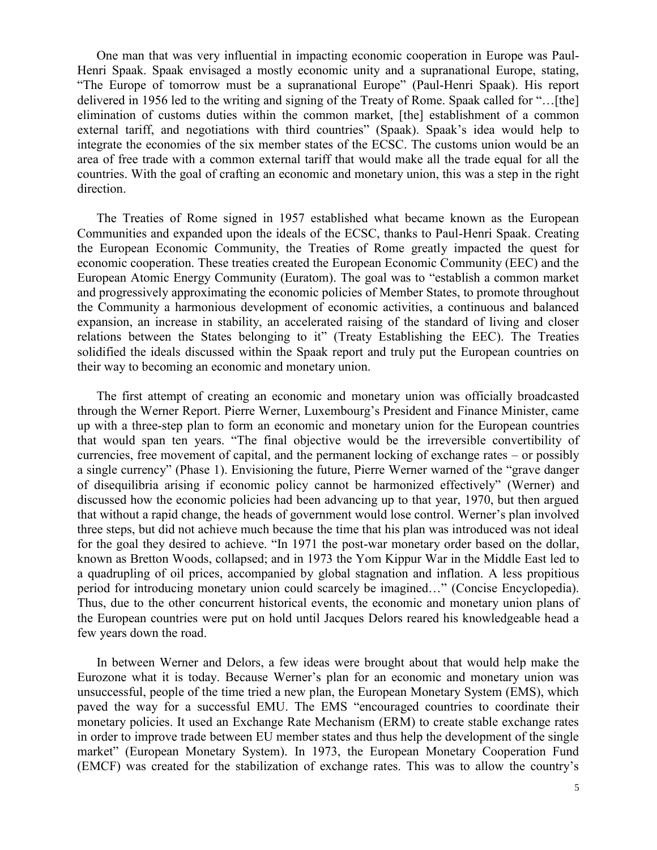One man that was very influential in impacting economic cooperation in Europe was Paul-Henri Spaak. Spaak envisaged a mostly economic unity and a supranational Europe, stating, "The Europe of tomorrow must be a supranational Europe" (Paul-Henri Spaak). His report delivered in 1956 led to the writing and signing of the Treaty of Rome. Spaak called for "…[the] elimination of customs duties within the common market, [the] establishment of a common external tariff, and negotiations with third countries" (Spaak). Spaak's idea would help to integrate the economies of the six member states of the ECSC. The customs union would be an area of free trade with a common external tariff that would make all the trade equal for all the countries. With the goal of crafting an economic and monetary union, this was a step in the right direction.

The Treaties of Rome signed in 1957 established what became known as the European Communities and expanded upon the ideals of the ECSC, thanks to Paul-Henri Spaak. Creating the European Economic Community, the Treaties of Rome greatly impacted the quest for economic cooperation. These treaties created the European Economic Community (EEC) and the European Atomic Energy Community (Euratom). The goal was to "establish a common market and progressively approximating the economic policies of Member States, to promote throughout the Community a harmonious development of economic activities, a continuous and balanced expansion, an increase in stability, an accelerated raising of the standard of living and closer relations between the States belonging to it" (Treaty Establishing the EEC). The Treaties solidified the ideals discussed within the Spaak report and truly put the European countries on their way to becoming an economic and monetary union.

The first attempt of creating an economic and monetary union was officially broadcasted through the Werner Report. Pierre Werner, Luxembourg's President and Finance Minister, came up with a three-step plan to form an economic and monetary union for the European countries that would span ten years. "The final objective would be the irreversible convertibility of currencies, free movement of capital, and the permanent locking of exchange rates – or possibly a single currency" (Phase 1). Envisioning the future, Pierre Werner warned of the "grave danger of disequilibria arising if economic policy cannot be harmonized effectively" (Werner) and discussed how the economic policies had been advancing up to that year, 1970, but then argued that without a rapid change, the heads of government would lose control. Werner's plan involved three steps, but did not achieve much because the time that his plan was introduced was not ideal for the goal they desired to achieve. "In 1971 the post-war monetary order based on the dollar, known as Bretton Woods, collapsed; and in 1973 the Yom Kippur War in the Middle East led to a quadrupling of oil prices, accompanied by global stagnation and inflation. A less propitious period for introducing monetary union could scarcely be imagined…" (Concise Encyclopedia). Thus, due to the other concurrent historical events, the economic and monetary union plans of the European countries were put on hold until Jacques Delors reared his knowledgeable head a few years down the road.

In between Werner and Delors, a few ideas were brought about that would help make the Eurozone what it is today. Because Werner's plan for an economic and monetary union was unsuccessful, people of the time tried a new plan, the European Monetary System (EMS), which paved the way for a successful EMU. The EMS "encouraged countries to coordinate their monetary policies. It used an Exchange Rate Mechanism (ERM) to create stable exchange rates in order to improve trade between EU member states and thus help the development of the single market" (European Monetary System). In 1973, the European Monetary Cooperation Fund (EMCF) was created for the stabilization of exchange rates. This was to allow the country's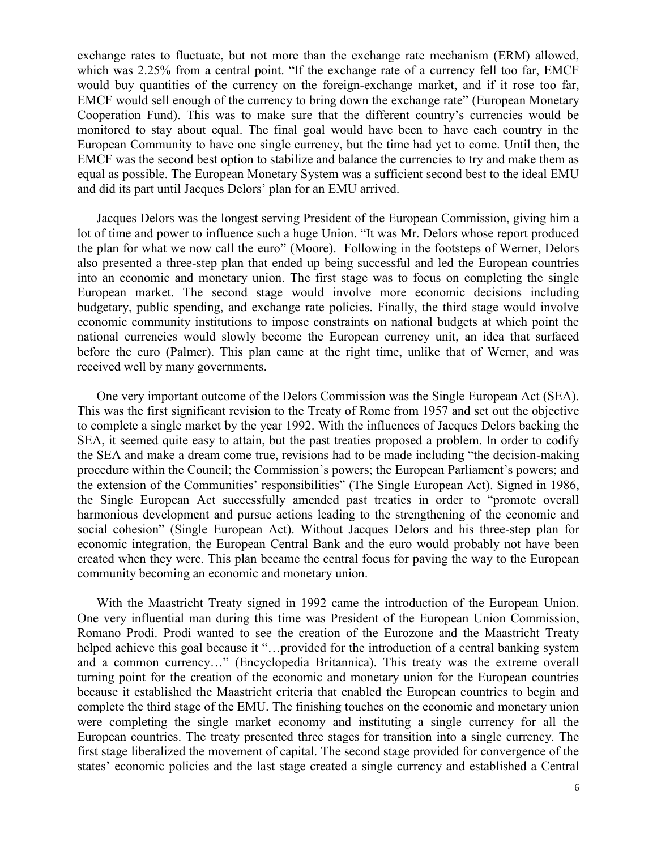exchange rates to fluctuate, but not more than the exchange rate mechanism (ERM) allowed, which was 2.25% from a central point. "If the exchange rate of a currency fell too far, EMCF would buy quantities of the currency on the foreign-exchange market, and if it rose too far, EMCF would sell enough of the currency to bring down the exchange rate" (European Monetary Cooperation Fund). This was to make sure that the different country's currencies would be monitored to stay about equal. The final goal would have been to have each country in the European Community to have one single currency, but the time had yet to come. Until then, the EMCF was the second best option to stabilize and balance the currencies to try and make them as equal as possible. The European Monetary System was a sufficient second best to the ideal EMU and did its part until Jacques Delors' plan for an EMU arrived.

Jacques Delors was the longest serving President of the European Commission, giving him a lot of time and power to influence such a huge Union. "It was Mr. Delors whose report produced the plan for what we now call the euro" (Moore). Following in the footsteps of Werner, Delors also presented a three-step plan that ended up being successful and led the European countries into an economic and monetary union. The first stage was to focus on completing the single European market. The second stage would involve more economic decisions including budgetary, public spending, and exchange rate policies. Finally, the third stage would involve economic community institutions to impose constraints on national budgets at which point the national currencies would slowly become the European currency unit, an idea that surfaced before the euro (Palmer). This plan came at the right time, unlike that of Werner, and was received well by many governments.

One very important outcome of the Delors Commission was the Single European Act (SEA). This was the first significant revision to the Treaty of Rome from 1957 and set out the objective to complete a single market by the year 1992. With the influences of Jacques Delors backing the SEA, it seemed quite easy to attain, but the past treaties proposed a problem. In order to codify the SEA and make a dream come true, revisions had to be made including "the decision-making procedure within the Council; the Commission's powers; the European Parliament's powers; and the extension of the Communities' responsibilities" (The Single European Act). Signed in 1986, the Single European Act successfully amended past treaties in order to "promote overall harmonious development and pursue actions leading to the strengthening of the economic and social cohesion" (Single European Act). Without Jacques Delors and his three-step plan for economic integration, the European Central Bank and the euro would probably not have been created when they were. This plan became the central focus for paving the way to the European community becoming an economic and monetary union.

With the Maastricht Treaty signed in 1992 came the introduction of the European Union. One very influential man during this time was President of the European Union Commission, Romano Prodi. Prodi wanted to see the creation of the Eurozone and the Maastricht Treaty helped achieve this goal because it "…provided for the introduction of a central banking system and a common currency…" (Encyclopedia Britannica). This treaty was the extreme overall turning point for the creation of the economic and monetary union for the European countries because it established the Maastricht criteria that enabled the European countries to begin and complete the third stage of the EMU. The finishing touches on the economic and monetary union were completing the single market economy and instituting a single currency for all the European countries. The treaty presented three stages for transition into a single currency. The first stage liberalized the movement of capital. The second stage provided for convergence of the states' economic policies and the last stage created a single currency and established a Central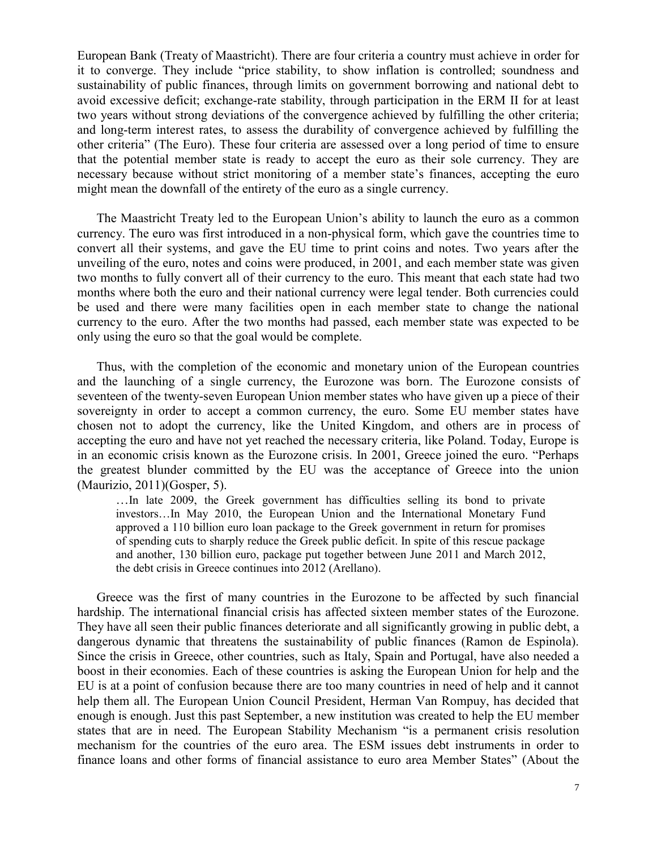European Bank (Treaty of Maastricht). There are four criteria a country must achieve in order for it to converge. They include "price stability, to show inflation is controlled; soundness and sustainability of public finances, through limits on government borrowing and national debt to avoid excessive deficit; exchange-rate stability, through participation in the ERM II for at least two years without strong deviations of the convergence achieved by fulfilling the other criteria; and long-term interest rates, to assess the durability of convergence achieved by fulfilling the other criteria" (The Euro). These four criteria are assessed over a long period of time to ensure that the potential member state is ready to accept the euro as their sole currency. They are necessary because without strict monitoring of a member state's finances, accepting the euro might mean the downfall of the entirety of the euro as a single currency.

The Maastricht Treaty led to the European Union's ability to launch the euro as a common currency. The euro was first introduced in a non-physical form, which gave the countries time to convert all their systems, and gave the EU time to print coins and notes. Two years after the unveiling of the euro, notes and coins were produced, in 2001, and each member state was given two months to fully convert all of their currency to the euro. This meant that each state had two months where both the euro and their national currency were legal tender. Both currencies could be used and there were many facilities open in each member state to change the national currency to the euro. After the two months had passed, each member state was expected to be only using the euro so that the goal would be complete.

Thus, with the completion of the economic and monetary union of the European countries and the launching of a single currency, the Eurozone was born. The Eurozone consists of seventeen of the twenty-seven European Union member states who have given up a piece of their sovereignty in order to accept a common currency, the euro. Some EU member states have chosen not to adopt the currency, like the United Kingdom, and others are in process of accepting the euro and have not yet reached the necessary criteria, like Poland. Today, Europe is in an economic crisis known as the Eurozone crisis. In 2001, Greece joined the euro. "Perhaps the greatest blunder committed by the EU was the acceptance of Greece into the union (Maurizio, 2011)(Gosper, 5).

…In late 2009, the Greek government has difficulties selling its bond to private investors…In May 2010, the European Union and the International Monetary Fund approved a 110 billion euro loan package to the Greek government in return for promises of spending cuts to sharply reduce the Greek public deficit. In spite of this rescue package and another, 130 billion euro, package put together between June 2011 and March 2012, the debt crisis in Greece continues into 2012 (Arellano).

Greece was the first of many countries in the Eurozone to be affected by such financial hardship. The international financial crisis has affected sixteen member states of the Eurozone. They have all seen their public finances deteriorate and all significantly growing in public debt, a dangerous dynamic that threatens the sustainability of public finances (Ramon de Espinola). Since the crisis in Greece, other countries, such as Italy, Spain and Portugal, have also needed a boost in their economies. Each of these countries is asking the European Union for help and the EU is at a point of confusion because there are too many countries in need of help and it cannot help them all. The European Union Council President, Herman Van Rompuy, has decided that enough is enough. Just this past September, a new institution was created to help the EU member states that are in need. The European Stability Mechanism "is a permanent crisis resolution mechanism for the countries of the euro area. The ESM issues debt instruments in order to finance loans and other forms of financial assistance to euro area Member States" (About the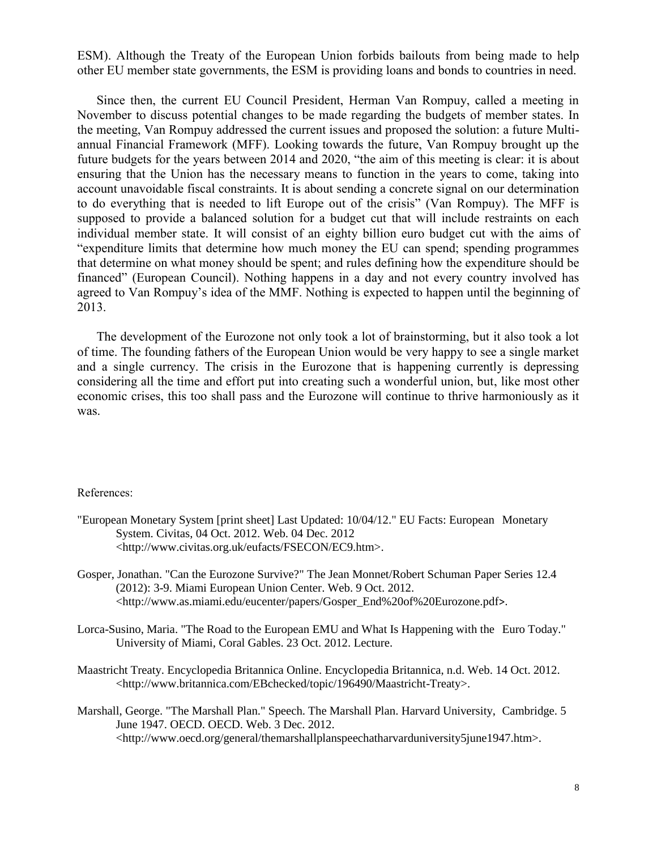ESM). Although the Treaty of the European Union forbids bailouts from being made to help other EU member state governments, the ESM is providing loans and bonds to countries in need.

Since then, the current EU Council President, Herman Van Rompuy, called a meeting in November to discuss potential changes to be made regarding the budgets of member states. In the meeting, Van Rompuy addressed the current issues and proposed the solution: a future Multiannual Financial Framework (MFF). Looking towards the future, Van Rompuy brought up the future budgets for the years between 2014 and 2020, "the aim of this meeting is clear: it is about ensuring that the Union has the necessary means to function in the years to come, taking into account unavoidable fiscal constraints. It is about sending a concrete signal on our determination to do everything that is needed to lift Europe out of the crisis" (Van Rompuy). The MFF is supposed to provide a balanced solution for a budget cut that will include restraints on each individual member state. It will consist of an eighty billion euro budget cut with the aims of "expenditure limits that determine how much money the EU can spend; spending programmes that determine on what money should be spent; and rules defining how the expenditure should be financed" (European Council). Nothing happens in a day and not every country involved has agreed to Van Rompuy's idea of the MMF. Nothing is expected to happen until the beginning of 2013.

The development of the Eurozone not only took a lot of brainstorming, but it also took a lot of time. The founding fathers of the European Union would be very happy to see a single market and a single currency. The crisis in the Eurozone that is happening currently is depressing considering all the time and effort put into creating such a wonderful union, but, like most other economic crises, this too shall pass and the Eurozone will continue to thrive harmoniously as it was.

#### References:

- "European Monetary System [print sheet] Last Updated: 10/04/12." EU Facts: European Monetary System. Civitas, 04 Oct. 2012. Web. 04 Dec. 2012 <http://www.civitas.org.uk/eufacts/FSECON/EC9.htm>.
- Gosper, Jonathan. "Can the Eurozone Survive?" The Jean Monnet/Robert Schuman Paper Series 12.4 (2012): 3-9. Miami European Union Center. Web. 9 Oct. 2012. [<http://www.as.miami.edu/eucenter/papers/Gosper\\_End%20of%20Eurozone.pdf](http://www.as.miami.edu/eucenter/papers/Gosper_End%20of%20Eurozone.pdf)>.
- Lorca-Susino, Maria. "The Road to the European EMU and What Is Happening with the Euro Today." University of Miami, Coral Gables. 23 Oct. 2012. Lecture.
- Maastricht Treaty. Encyclopedia Britannica Online. Encyclopedia Britannica, n.d. Web. 14 Oct. 2012. <http://www.britannica.com/EBchecked/topic/196490/Maastricht-Treaty>.
- Marshall, George. "The Marshall Plan." Speech. The Marshall Plan. Harvard University, Cambridge. 5 June 1947. OECD. OECD. Web. 3 Dec. 2012. <http://www.oecd.org/general/themarshallplanspeechatharvarduniversity5june1947.htm>.